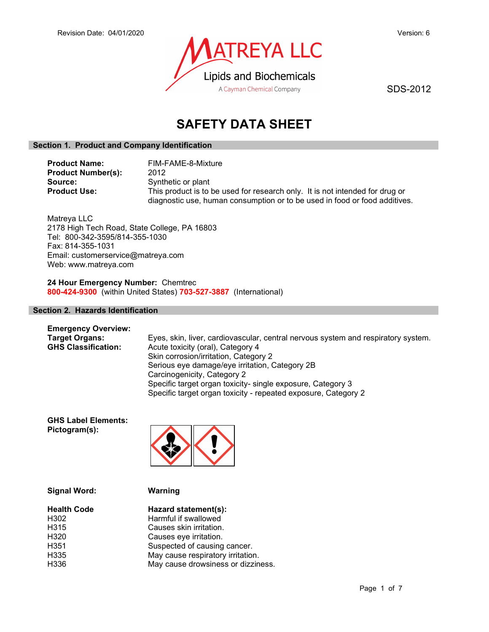

SDS-2012

# SAFETY DATA SHEET

## Section 1. Product and Company Identification

Product Name: FIM-FAME-8-Mixture Product Number(s): 2012 Source: Synthetic or plant<br> **Product Use:** This product is to This product is to be used for research only. It is not intended for drug or diagnostic use, human consumption or to be used in food or food additives.

Matreya LLC 2178 High Tech Road, State College, PA 16803 Tel: 800-342-3595/814-355-1030 Fax: 814-355-1031 Email: customerservice@matreya.com Web: www.matreya.com

24 Hour Emergency Number: Chemtrec 800-424-9300 (within United States) 703-527-3887 (International)

## Section 2. Hazards Identification

| <b>Emergency Overview:</b> |                                                                                   |
|----------------------------|-----------------------------------------------------------------------------------|
| <b>Target Organs:</b>      | Eyes, skin, liver, cardiovascular, central nervous system and respiratory system. |
| <b>GHS Classification:</b> | Acute toxicity (oral), Category 4                                                 |
|                            | Skin corrosion/irritation, Category 2                                             |
|                            | Serious eye damage/eye irritation, Category 2B                                    |
|                            | Carcinogenicity, Category 2                                                       |
|                            | Specific target organ toxicity- single exposure, Category 3                       |
|                            | Specific target organ toxicity - repeated exposure, Category 2                    |

GHS Label Elements: Pictogram(s):



Warning

| <b>Health Code</b> | Hazard statement(s):               |
|--------------------|------------------------------------|
| H <sub>302</sub>   | Harmful if swallowed               |
| H <sub>3</sub> 15  | Causes skin irritation.            |
| H <sub>320</sub>   | Causes eye irritation.             |
| H <sub>351</sub>   | Suspected of causing cancer.       |
| H <sub>335</sub>   | May cause respiratory irritation.  |
| H336               | May cause drowsiness or dizziness. |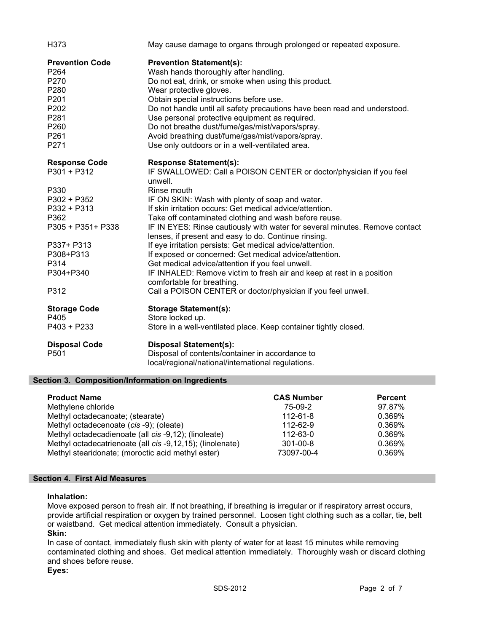| H373                                                                                                                      | May cause damage to organs through prolonged or repeated exposure.                                                                                                                                                                                                                                                                                                                                                                                                                                                                                                                                                                                                           |
|---------------------------------------------------------------------------------------------------------------------------|------------------------------------------------------------------------------------------------------------------------------------------------------------------------------------------------------------------------------------------------------------------------------------------------------------------------------------------------------------------------------------------------------------------------------------------------------------------------------------------------------------------------------------------------------------------------------------------------------------------------------------------------------------------------------|
| <b>Prevention Code</b><br>P264<br>P270<br>P280<br>P201<br>P202<br>P281<br>P260<br>P261<br>P271                            | <b>Prevention Statement(s):</b><br>Wash hands thoroughly after handling.<br>Do not eat, drink, or smoke when using this product.<br>Wear protective gloves.<br>Obtain special instructions before use.<br>Do not handle until all safety precautions have been read and understood.<br>Use personal protective equipment as required.<br>Do not breathe dust/fume/gas/mist/vapors/spray.<br>Avoid breathing dust/fume/gas/mist/vapors/spray.<br>Use only outdoors or in a well-ventilated area.                                                                                                                                                                              |
| <b>Response Code</b><br>$P301 + P312$                                                                                     | <b>Response Statement(s):</b><br>IF SWALLOWED: Call a POISON CENTER or doctor/physician if you feel<br>unwell.                                                                                                                                                                                                                                                                                                                                                                                                                                                                                                                                                               |
| P330<br>P302 + P352<br>$P332 + P313$<br>P362<br>P305 + P351+ P338<br>P337+ P313<br>P308+P313<br>P314<br>P304+P340<br>P312 | Rinse mouth<br>IF ON SKIN: Wash with plenty of soap and water.<br>If skin irritation occurs: Get medical advice/attention.<br>Take off contaminated clothing and wash before reuse.<br>IF IN EYES: Rinse cautiously with water for several minutes. Remove contact<br>lenses, if present and easy to do. Continue rinsing.<br>If eye irritation persists: Get medical advice/attention.<br>If exposed or concerned: Get medical advice/attention.<br>Get medical advice/attention if you feel unwell.<br>IF INHALED: Remove victim to fresh air and keep at rest in a position<br>comfortable for breathing.<br>Call a POISON CENTER or doctor/physician if you feel unwell. |
| <b>Storage Code</b><br>P405<br>$P403 + P233$                                                                              | <b>Storage Statement(s):</b><br>Store locked up.<br>Store in a well-ventilated place. Keep container tightly closed.                                                                                                                                                                                                                                                                                                                                                                                                                                                                                                                                                         |
| <b>Disposal Code</b><br>P501                                                                                              | <b>Disposal Statement(s):</b><br>Disposal of contents/container in accordance to<br>local/regional/national/international regulations.                                                                                                                                                                                                                                                                                                                                                                                                                                                                                                                                       |

## Section 3. Composition/Information on Ingredients

| <b>Product Name</b>                                       | <b>CAS Number</b> | <b>Percent</b> |
|-----------------------------------------------------------|-------------------|----------------|
| Methylene chloride                                        | 75-09-2           | 97.87%         |
| Methyl octadecanoate; (stearate)                          | 112-61-8          | 0.369%         |
| Methyl octadecenoate (cis -9); (oleate)                   | 112-62-9          | 0.369%         |
| Methyl octadecadienoate (all cis -9,12); (linoleate)      | 112-63-0          | 0.369%         |
| Methyl octadecatrienoate (all cis -9,12,15); (linolenate) | $301 - 00 - 8$    | 0.369%         |
| Methyl stearidonate; (moroctic acid methyl ester)         | 73097-00-4        | 0.369%         |

## Section 4. First Aid Measures

## Inhalation:

Move exposed person to fresh air. If not breathing, if breathing is irregular or if respiratory arrest occurs, provide artificial respiration or oxygen by trained personnel. Loosen tight clothing such as a collar, tie, belt or waistband. Get medical attention immediately. Consult a physician.

## Skin:

In case of contact, immediately flush skin with plenty of water for at least 15 minutes while removing contaminated clothing and shoes. Get medical attention immediately. Thoroughly wash or discard clothing and shoes before reuse.

Eyes: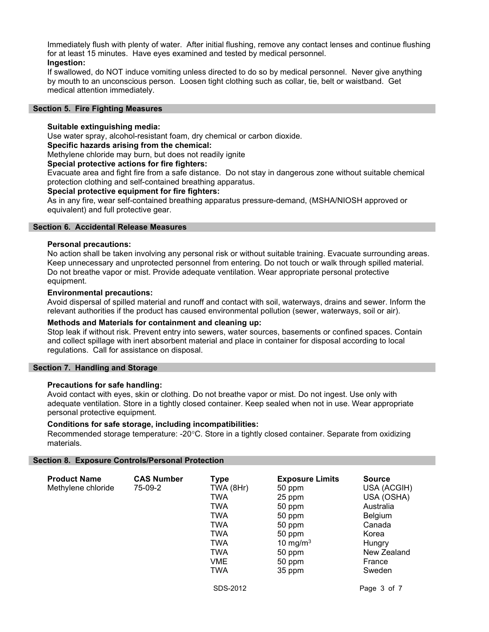Immediately flush with plenty of water. After initial flushing, remove any contact lenses and continue flushing for at least 15 minutes. Have eyes examined and tested by medical personnel. Ingestion:

If swallowed, do NOT induce vomiting unless directed to do so by medical personnel. Never give anything by mouth to an unconscious person. Loosen tight clothing such as collar, tie, belt or waistband. Get medical attention immediately.

#### Section 5. Fire Fighting Measures

## Suitable extinguishing media:

Use water spray, alcohol-resistant foam, dry chemical or carbon dioxide.

#### Specific hazards arising from the chemical:

Methylene chloride may burn, but does not readily ignite

## Special protective actions for fire fighters:

Evacuate area and fight fire from a safe distance. Do not stay in dangerous zone without suitable chemical protection clothing and self-contained breathing apparatus.

#### Special protective equipment for fire fighters:

As in any fire, wear self-contained breathing apparatus pressure-demand, (MSHA/NIOSH approved or equivalent) and full protective gear.

#### Section 6. Accidental Release Measures

#### Personal precautions:

No action shall be taken involving any personal risk or without suitable training. Evacuate surrounding areas. Keep unnecessary and unprotected personnel from entering. Do not touch or walk through spilled material. Do not breathe vapor or mist. Provide adequate ventilation. Wear appropriate personal protective equipment.

#### Environmental precautions:

Avoid dispersal of spilled material and runoff and contact with soil, waterways, drains and sewer. Inform the relevant authorities if the product has caused environmental pollution (sewer, waterways, soil or air).

## Methods and Materials for containment and cleaning up:

Stop leak if without risk. Prevent entry into sewers, water sources, basements or confined spaces. Contain and collect spillage with inert absorbent material and place in container for disposal according to local regulations. Call for assistance on disposal.

#### Section 7. Handling and Storage

## Precautions for safe handling:

Avoid contact with eyes, skin or clothing. Do not breathe vapor or mist. Do not ingest. Use only with adequate ventilation. Store in a tightly closed container. Keep sealed when not in use. Wear appropriate personal protective equipment.

## Conditions for safe storage, including incompatibilities:

Recommended storage temperature: -20°C. Store in a tightly closed container. Separate from oxidizing materials.

## Section 8. Exposure Controls/Personal Protection

| <b>Product Name</b><br>Methylene chloride | <b>CAS Number</b><br>75-09-2 | <b>Type</b><br>TWA (8Hr)<br>TWA<br>TWA<br>TWA<br>TWA<br>TWA<br><b>TWA</b><br>TWA<br>VME<br>TWA | <b>Exposure Limits</b><br>50 ppm<br>25 ppm<br>50 ppm<br>50 ppm<br>50 ppm<br>50 ppm<br>10 mg/m $3$<br>50 ppm<br>50 ppm<br>35 ppm | <b>Source</b><br>USA (ACGIH)<br>USA (OSHA)<br>Australia<br>Belgium<br>Canada<br>Korea<br>Hungry<br>New Zealand<br>France<br>Sweden |
|-------------------------------------------|------------------------------|------------------------------------------------------------------------------------------------|---------------------------------------------------------------------------------------------------------------------------------|------------------------------------------------------------------------------------------------------------------------------------|
|                                           |                              | SDS-2012                                                                                       |                                                                                                                                 | Page 3 of 7                                                                                                                        |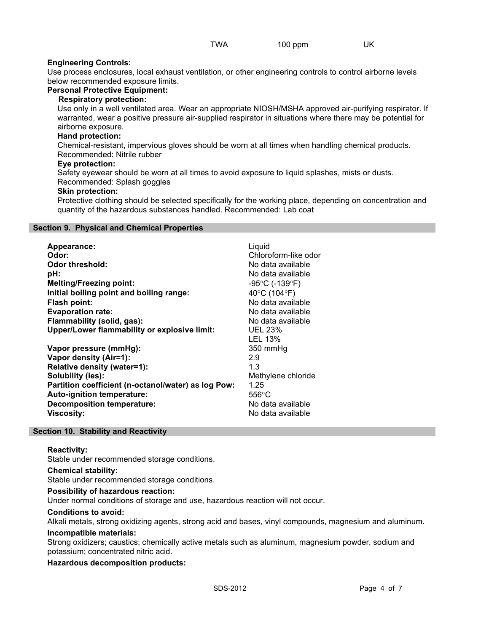## Engineering Controls:

Use process enclosures, local exhaust ventilation, or other engineering controls to control airborne levels below recommended exposure limits.

## Personal Protective Equipment:

## Respiratory protection:

Use only in a well ventilated area. Wear an appropriate NIOSH/MSHA approved air-purifying respirator. If warranted, wear a positive pressure air-supplied respirator in situations where there may be potential for airborne exposure.

## Hand protection:

Chemical-resistant, impervious gloves should be worn at all times when handling chemical products. Recommended: Nitrile rubber

## Eye protection:

Safety eyewear should be worn at all times to avoid exposure to liquid splashes, mists or dusts.

## Recommended: Splash goggles

## Skin protection:

Protective clothing should be selected specifically for the working place, depending on concentration and quantity of the hazardous substances handled. Recommended: Lab coat

## Section 9. Physical and Chemical Properties

| Appearance:                                                                                                                                                                                                                                         | Liquid                                                                                                                       |
|-----------------------------------------------------------------------------------------------------------------------------------------------------------------------------------------------------------------------------------------------------|------------------------------------------------------------------------------------------------------------------------------|
| Odor:                                                                                                                                                                                                                                               | Chloroform-like odor                                                                                                         |
| <b>Odor threshold:</b>                                                                                                                                                                                                                              | No data available                                                                                                            |
| pH:                                                                                                                                                                                                                                                 | No data available                                                                                                            |
| <b>Melting/Freezing point:</b>                                                                                                                                                                                                                      | $-95^{\circ}$ C (-139 $^{\circ}$ F)                                                                                          |
| Initial boiling point and boiling range:                                                                                                                                                                                                            | 40°C (104°F)                                                                                                                 |
| Flash point:                                                                                                                                                                                                                                        | No data available                                                                                                            |
| <b>Evaporation rate:</b>                                                                                                                                                                                                                            | No data available                                                                                                            |
| Flammability (solid, gas):                                                                                                                                                                                                                          | No data available                                                                                                            |
| Upper/Lower flammability or explosive limit:                                                                                                                                                                                                        | <b>UEL 23%</b>                                                                                                               |
| Vapor pressure (mmHg):<br>Vapor density (Air=1):<br>Relative density (water=1):<br>Solubility (ies):<br>Partition coefficient (n-octanol/water) as log Pow:<br>Auto-ignition temperature:<br><b>Decomposition temperature:</b><br><b>Viscosity:</b> | LEL 13%<br>350 mmHq<br>2.9<br>1.3<br>Methylene chloride<br>1.25<br>$556^{\circ}$ C<br>No data available<br>No data available |

## Section 10. Stability and Reactivity

## Reactivity:

Stable under recommended storage conditions.

## Chemical stability:

Stable under recommended storage conditions.

## Possibility of hazardous reaction:

Under normal conditions of storage and use, hazardous reaction will not occur.

#### Conditions to avoid:

Alkali metals, strong oxidizing agents, strong acid and bases, vinyl compounds, magnesium and aluminum.

#### Incompatible materials:

Strong oxidizers; caustics; chemically active metals such as aluminum, magnesium powder, sodium and potassium; concentrated nitric acid.

## Hazardous decomposition products: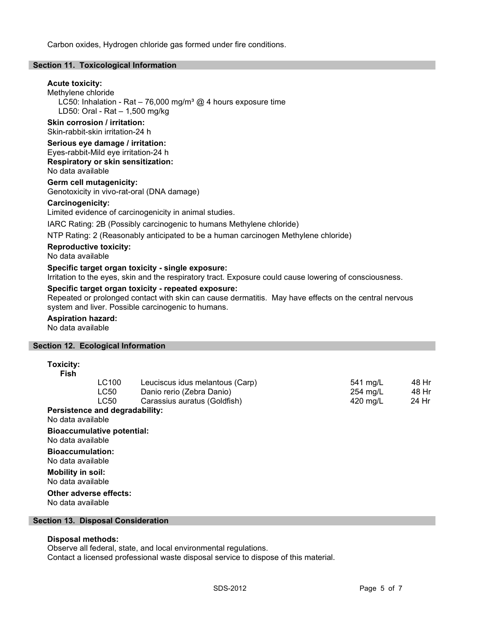Carbon oxides, Hydrogen chloride gas formed under fire conditions.

#### Section 11. Toxicological Information

## Acute toxicity:

Methylene chloride LC50: Inhalation - Rat – 76,000 mg/m<sup>3</sup> @ 4 hours exposure time LD50: Oral - Rat – 1,500 mg/kg

## Skin corrosion / irritation:

Skin-rabbit-skin irritation-24 h

## Serious eye damage / irritation: Eyes-rabbit-Mild eye irritation-24 h

Respiratory or skin sensitization: No data available

Germ cell mutagenicity: Genotoxicity in vivo-rat-oral (DNA damage)

## Carcinogenicity:

Limited evidence of carcinogenicity in animal studies.

IARC Rating: 2B (Possibly carcinogenic to humans Methylene chloride)

NTP Rating: 2 (Reasonably anticipated to be a human carcinogen Methylene chloride)

## Reproductive toxicity:

No data available

#### Specific target organ toxicity - single exposure:

Irritation to the eyes, skin and the respiratory tract. Exposure could cause lowering of consciousness.

## Specific target organ toxicity - repeated exposure:

Repeated or prolonged contact with skin can cause dermatitis. May have effects on the central nervous system and liver. Possible carcinogenic to humans.

## Aspiration hazard:

No data available

## Section 12. Ecological Information

## Toxicity:

| Fish |       |                                 |          |       |
|------|-------|---------------------------------|----------|-------|
|      | LC100 | Leuciscus idus melantous (Carp) | 541 mg/L | 48 Hr |
|      | LC50  | Danio rerio (Zebra Danio)       | 254 mg/L | 48 Hr |
|      | LC50  | Carassius auratus (Goldfish)    | 420 ma/L | 24 Hr |
|      |       |                                 |          |       |

#### Persistence and degradability:

No data available

## Bioaccumulative potential:

No data available

Bioaccumulation: No data available

Mobility in soil: No data available

#### Other adverse effects: No data available

## Section 13. Disposal Consideration

## Disposal methods:

Observe all federal, state, and local environmental regulations.

Contact a licensed professional waste disposal service to dispose of this material.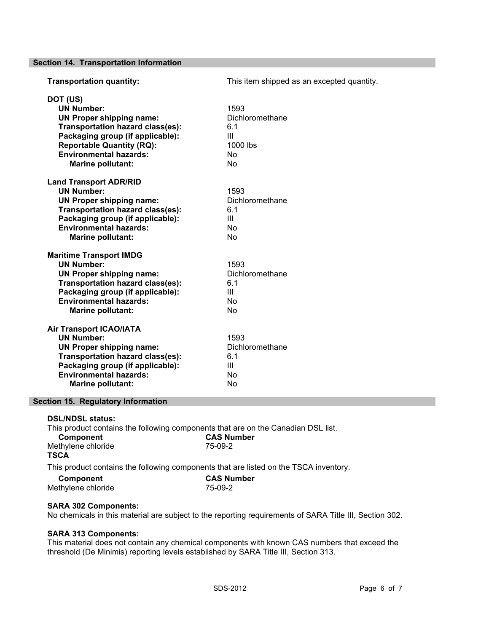Section 14. Transportation Information

| <b>Transportation quantity:</b>                                                                                                                                                                                                           | This item shipped as an excepted quantity.                         |
|-------------------------------------------------------------------------------------------------------------------------------------------------------------------------------------------------------------------------------------------|--------------------------------------------------------------------|
| DOT (US)<br><b>UN Number:</b><br><b>UN Proper shipping name:</b><br><b>Transportation hazard class(es):</b><br>Packaging group (if applicable):<br><b>Reportable Quantity (RQ):</b><br><b>Environmental hazards:</b><br>Marine pollutant: | 1593<br>Dichloromethane<br>6.1<br>Ш<br>1000 lbs<br><b>No</b><br>No |
| <b>Land Transport ADR/RID</b><br><b>UN Number:</b><br><b>UN Proper shipping name:</b><br>Transportation hazard class(es):<br>Packaging group (if applicable):<br><b>Environmental hazards:</b><br>Marine pollutant:                       | 1593<br>Dichloromethane<br>6.1<br>Ш<br>No<br><b>No</b>             |
| <b>Maritime Transport IMDG</b><br><b>UN Number:</b><br><b>UN Proper shipping name:</b><br>Transportation hazard class(es):<br>Packaging group (if applicable):<br><b>Environmental hazards:</b><br><b>Marine pollutant:</b>               | 1593<br>Dichloromethane<br>6.1<br>$\mathbf{III}$<br>No<br>No       |
| <b>Air Transport ICAO/IATA</b><br><b>UN Number:</b><br><b>UN Proper shipping name:</b><br><b>Transportation hazard class(es):</b><br>Packaging group (if applicable):<br><b>Environmental hazards:</b><br>Marine pollutant:               | 1593<br>Dichloromethane<br>6.1<br>$\mathbf{III}$<br>No<br>No       |

## Section 15. Regulatory Information

#### DSL/NDSL status:

This product contains the following components that are on the Canadian DSL list.<br> **CAS Number** CAS Number

| <b>VUIIDUIIGIIL</b> | VAV INHIINVI                                                                          |
|---------------------|---------------------------------------------------------------------------------------|
| Methylene chloride  | 75-09-2                                                                               |
| <b>TSCA</b>         |                                                                                       |
|                     | This product contains the following components that are listed on the TSCA inventory. |

Component CAS Number

| Methylene chloride | 75-09-2 |
|--------------------|---------|
|                    |         |

## SARA 302 Components:

No chemicals in this material are subject to the reporting requirements of SARA Title III, Section 302.

## SARA 313 Components:

This material does not contain any chemical components with known CAS numbers that exceed the threshold (De Minimis) reporting levels established by SARA Title III, Section 313.